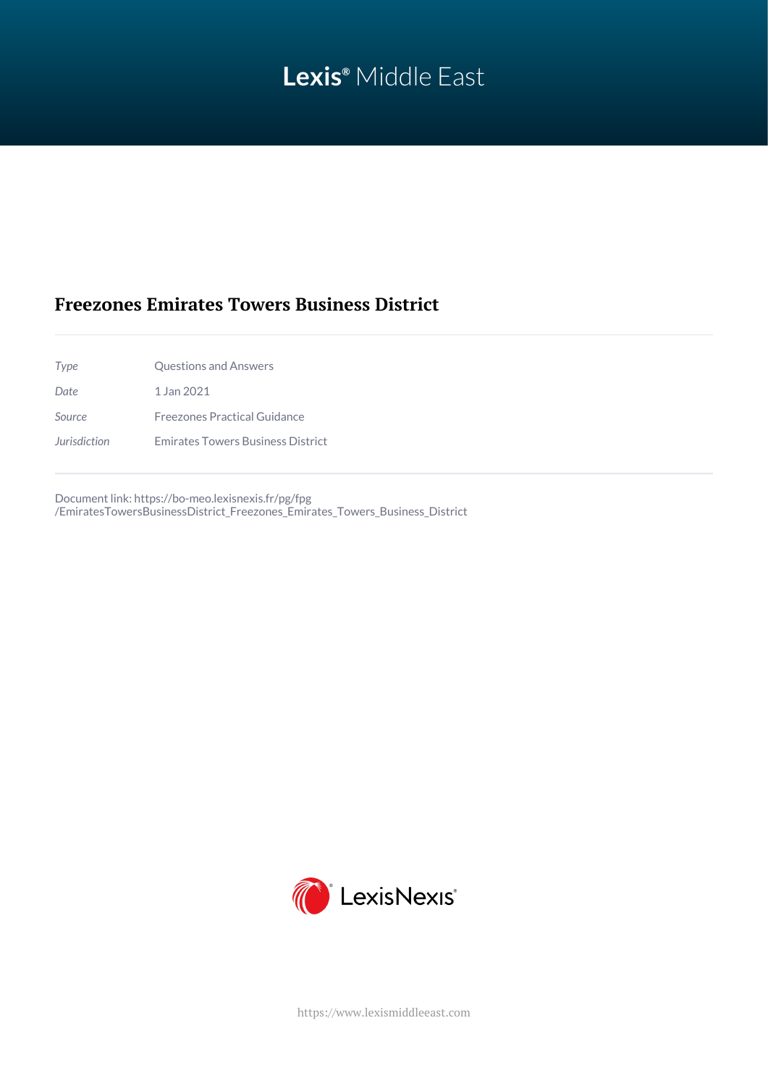# **Lexis®** Middle East

# **Freezones Emirates Towers Business District**

*Type* Questions and Answers *Date* 1 Jan 2021 *Source* Freezones Practical Guidance *Jurisdiction* Emirates Towers Business District

Document link: [https://bo-meo.lexisnexis.fr/pg/fpg](https://bo-meo.lexisnexis.fr/pg/fpg/EmiratesTowersBusinessDistrict_Freezones_Emirates_Towers_Business_District) [/EmiratesTowersBusinessDistrict\\_Freezones\\_Emirates\\_Towers\\_Business\\_District](https://bo-meo.lexisnexis.fr/pg/fpg/EmiratesTowersBusinessDistrict_Freezones_Emirates_Towers_Business_District)



<https://www.lexismiddleeast.com>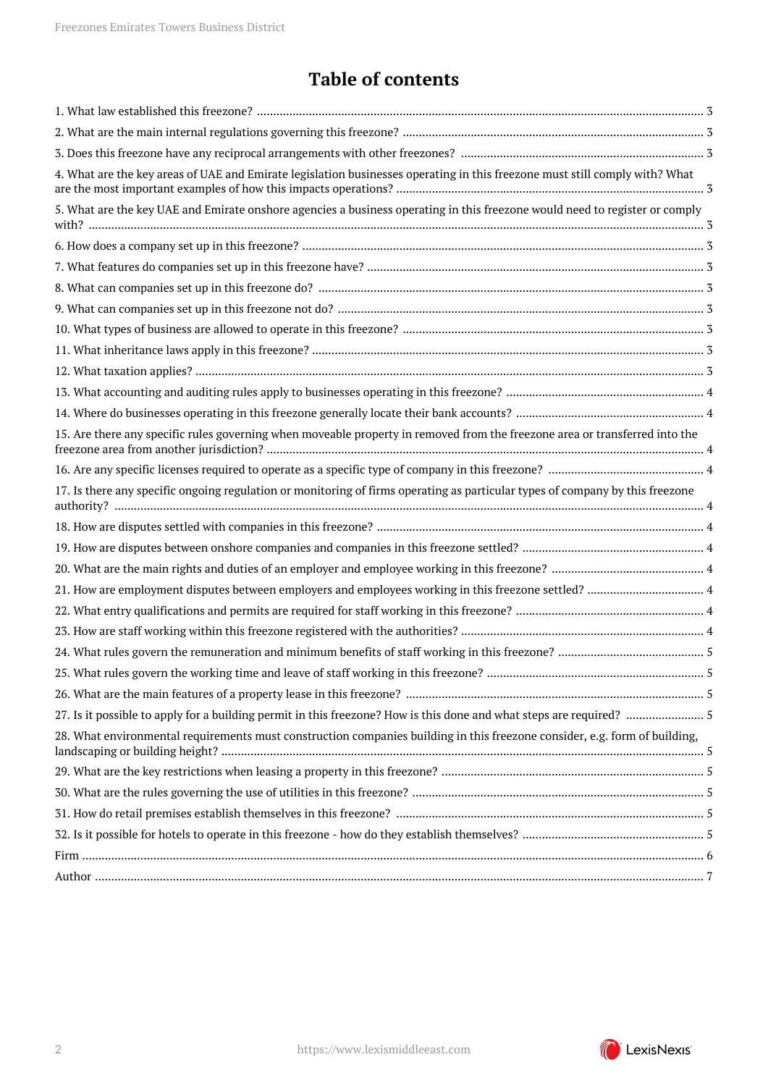# **Table of contents**

| 4. What are the key areas of UAE and Emirate legislation businesses operating in this freezone must still comply with? What   |
|-------------------------------------------------------------------------------------------------------------------------------|
| 5. What are the key UAE and Emirate onshore agencies a business operating in this freezone would need to register or comply   |
|                                                                                                                               |
|                                                                                                                               |
|                                                                                                                               |
|                                                                                                                               |
|                                                                                                                               |
|                                                                                                                               |
|                                                                                                                               |
|                                                                                                                               |
|                                                                                                                               |
| 15. Are there any specific rules governing when moveable property in removed from the freezone area or transferred into the   |
|                                                                                                                               |
| 17. Is there any specific ongoing regulation or monitoring of firms operating as particular types of company by this freezone |
|                                                                                                                               |
|                                                                                                                               |
|                                                                                                                               |
|                                                                                                                               |
|                                                                                                                               |
|                                                                                                                               |
|                                                                                                                               |
|                                                                                                                               |
|                                                                                                                               |
|                                                                                                                               |
| 28. What environmental requirements must construction companies building in this freezone consider, e.g. form of building,    |
|                                                                                                                               |
|                                                                                                                               |
|                                                                                                                               |
|                                                                                                                               |
|                                                                                                                               |
|                                                                                                                               |

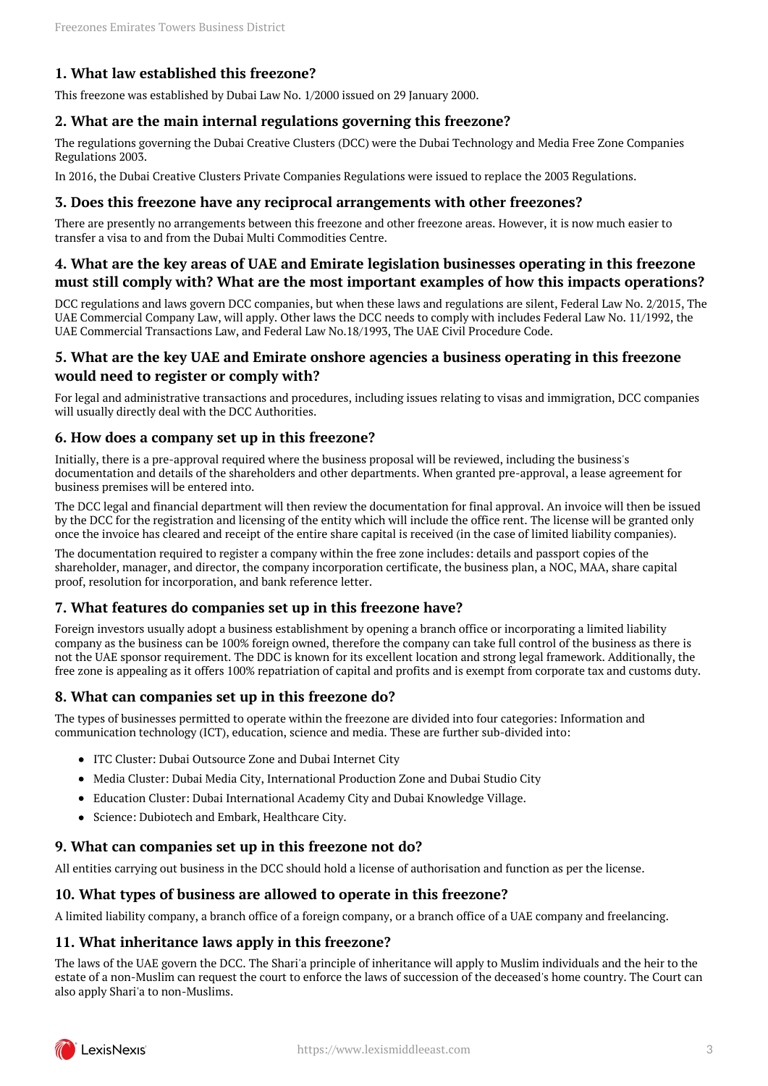# <span id="page-2-0"></span>**1. What law established this freezone?**

This freezone was established by Dubai Law No. 1/2000 issued on 29 January 2000.

#### <span id="page-2-1"></span>**2. What are the main internal regulations governing this freezone?**

The regulations governing the Dubai Creative Clusters (DCC) were the Dubai Technology and Media Free Zone Companies Regulations 2003.

In 2016, the Dubai Creative Clusters Private Companies Regulations were issued to replace the 2003 Regulations.

#### <span id="page-2-2"></span>**3. Does this freezone have any reciprocal arrangements with other freezones?**

There are presently no arrangements between this freezone and other freezone areas. However, it is now much easier to transfer a visa to and from the Dubai Multi Commodities Centre.

### <span id="page-2-3"></span>**4. What are the key areas of UAE and Emirate legislation businesses operating in this freezone must still comply with? What are the most important examples of how this impacts operations?**

DCC regulations and laws govern DCC companies, but when these laws and regulations are silent, Federal Law No. 2/2015, The UAE Commercial Company Law, will apply. Other laws the DCC needs to comply with includes Federal Law No. 11/1992, the UAE Commercial Transactions Law, and Federal Law No.18/1993, The UAE Civil Procedure Code.

#### <span id="page-2-4"></span>**5. What are the key UAE and Emirate onshore agencies a business operating in this freezone would need to register or comply with?**

For legal and administrative transactions and procedures, including issues relating to visas and immigration, DCC companies will usually directly deal with the DCC Authorities.

#### <span id="page-2-5"></span>**6. How does a company set up in this freezone?**

Initially, there is a pre-approval required where the business proposal will be reviewed, including the business's documentation and details of the shareholders and other departments. When granted pre-approval, a lease agreement for business premises will be entered into.

The DCC legal and financial department will then review the documentation for final approval. An invoice will then be issued by the DCC for the registration and licensing of the entity which will include the office rent. The license will be granted only once the invoice has cleared and receipt of the entire share capital is received (in the case of limited liability companies).

The documentation required to register a company within the free zone includes: details and passport copies of the shareholder, manager, and director, the company incorporation certificate, the business plan, a NOC, MAA, share capital proof, resolution for incorporation, and bank reference letter.

# <span id="page-2-6"></span>**7. What features do companies set up in this freezone have?**

Foreign investors usually adopt a business establishment by opening a branch office or incorporating a limited liability company as the business can be 100% foreign owned, therefore the company can take full control of the business as there is not the UAE sponsor requirement. The DDC is known for its excellent location and strong legal framework. Additionally, the free zone is appealing as it offers 100% repatriation of capital and profits and is exempt from corporate tax and customs duty.

# <span id="page-2-7"></span>**8. What can companies set up in this freezone do?**

The types of businesses permitted to operate within the freezone are divided into four categories: Information and communication technology (ICT), education, science and media. These are further sub-divided into:

- ITC Cluster: Dubai Outsource Zone and Dubai Internet City
- Media Cluster: Dubai Media City, International Production Zone and Dubai Studio City
- Education Cluster: Dubai International Academy City and Dubai Knowledge Village.
- Science: Dubiotech and Embark, Healthcare City.

# <span id="page-2-8"></span>**9. What can companies set up in this freezone not do?**

All entities carrying out business in the DCC should hold a license of authorisation and function as per the license.

#### <span id="page-2-9"></span>**10. What types of business are allowed to operate in this freezone?**

A limited liability company, a branch office of a foreign company, or a branch office of a UAE company and freelancing.

# <span id="page-2-10"></span>**11. What inheritance laws apply in this freezone?**

The laws of the UAE govern the DCC. The Shari'a principle of inheritance will apply to Muslim individuals and the heir to the estate of a non-Muslim can request the court to enforce the laws of succession of the deceased's home country. The Court can also apply Shari'a to non-Muslims.

<span id="page-2-11"></span>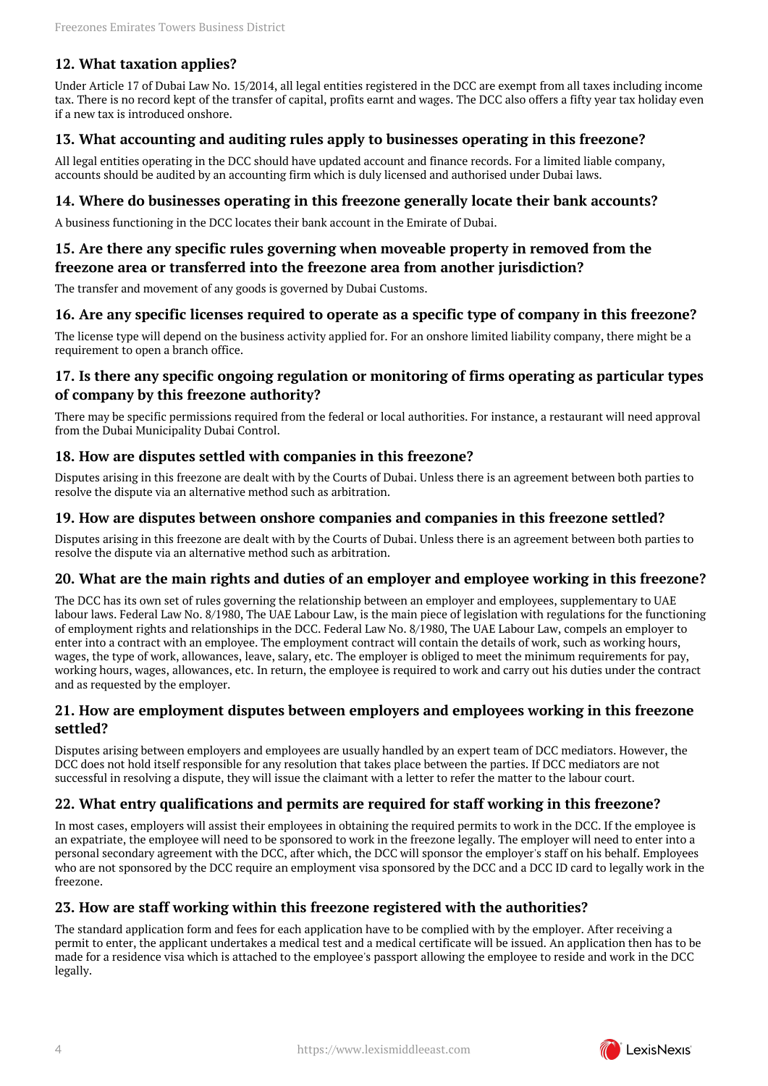# **12. What taxation applies?**

Under Article 17 of Dubai Law No. 15/2014, all legal entities registered in the DCC are exempt from all taxes including income tax. There is no record kept of the transfer of capital, profits earnt and wages. The DCC also offers a fifty year tax holiday even if a new tax is introduced onshore.

### <span id="page-3-0"></span>**13. What accounting and auditing rules apply to businesses operating in this freezone?**

All legal entities operating in the DCC should have updated account and finance records. For a limited liable company, accounts should be audited by an accounting firm which is duly licensed and authorised under Dubai laws.

#### <span id="page-3-1"></span>**14. Where do businesses operating in this freezone generally locate their bank accounts?**

A business functioning in the DCC locates their bank account in the Emirate of Dubai.

### <span id="page-3-2"></span>**15. Are there any specific rules governing when moveable property in removed from the freezone area or transferred into the freezone area from another jurisdiction?**

The transfer and movement of any goods is governed by Dubai Customs.

#### <span id="page-3-3"></span>**16. Are any specific licenses required to operate as a specific type of company in this freezone?**

The license type will depend on the business activity applied for. For an onshore limited liability company, there might be a requirement to open a branch office.

# <span id="page-3-4"></span>**17. Is there any specific ongoing regulation or monitoring of firms operating as particular types of company by this freezone authority?**

There may be specific permissions required from the federal or local authorities. For instance, a restaurant will need approval from the Dubai Municipality Dubai Control.

#### <span id="page-3-5"></span>**18. How are disputes settled with companies in this freezone?**

Disputes arising in this freezone are dealt with by the Courts of Dubai. Unless there is an agreement between both parties to resolve the dispute via an alternative method such as arbitration.

#### <span id="page-3-6"></span>**19. How are disputes between onshore companies and companies in this freezone settled?**

Disputes arising in this freezone are dealt with by the Courts of Dubai. Unless there is an agreement between both parties to resolve the dispute via an alternative method such as arbitration.

#### <span id="page-3-7"></span>**20. What are the main rights and duties of an employer and employee working in this freezone?**

The DCC has its own set of rules governing the relationship between an employer and employees, supplementary to UAE labour laws. Federal Law No. 8/1980, The UAE Labour Law, is the main piece of legislation with regulations for the functioning of employment rights and relationships in the DCC. Federal Law No. 8/1980, The UAE Labour Law, compels an employer to enter into a contract with an employee. The employment contract will contain the details of work, such as working hours, wages, the type of work, allowances, leave, salary, etc. The employer is obliged to meet the minimum requirements for pay, working hours, wages, allowances, etc. In return, the employee is required to work and carry out his duties under the contract and as requested by the employer.

#### <span id="page-3-8"></span>**21. How are employment disputes between employers and employees working in this freezone settled?**

Disputes arising between employers and employees are usually handled by an expert team of DCC mediators. However, the DCC does not hold itself responsible for any resolution that takes place between the parties. If DCC mediators are not successful in resolving a dispute, they will issue the claimant with a letter to refer the matter to the labour court.

#### <span id="page-3-9"></span>**22. What entry qualifications and permits are required for staff working in this freezone?**

In most cases, employers will assist their employees in obtaining the required permits to work in the DCC. If the employee is an expatriate, the employee will need to be sponsored to work in the freezone legally. The employer will need to enter into a personal secondary agreement with the DCC, after which, the DCC will sponsor the employer's staff on his behalf. Employees who are not sponsored by the DCC require an employment visa sponsored by the DCC and a DCC ID card to legally work in the freezone.

# <span id="page-3-10"></span>**23. How are staff working within this freezone registered with the authorities?**

The standard application form and fees for each application have to be complied with by the employer. After receiving a permit to enter, the applicant undertakes a medical test and a medical certificate will be issued. An application then has to be made for a residence visa which is attached to the employee's passport allowing the employee to reside and work in the DCC legally.

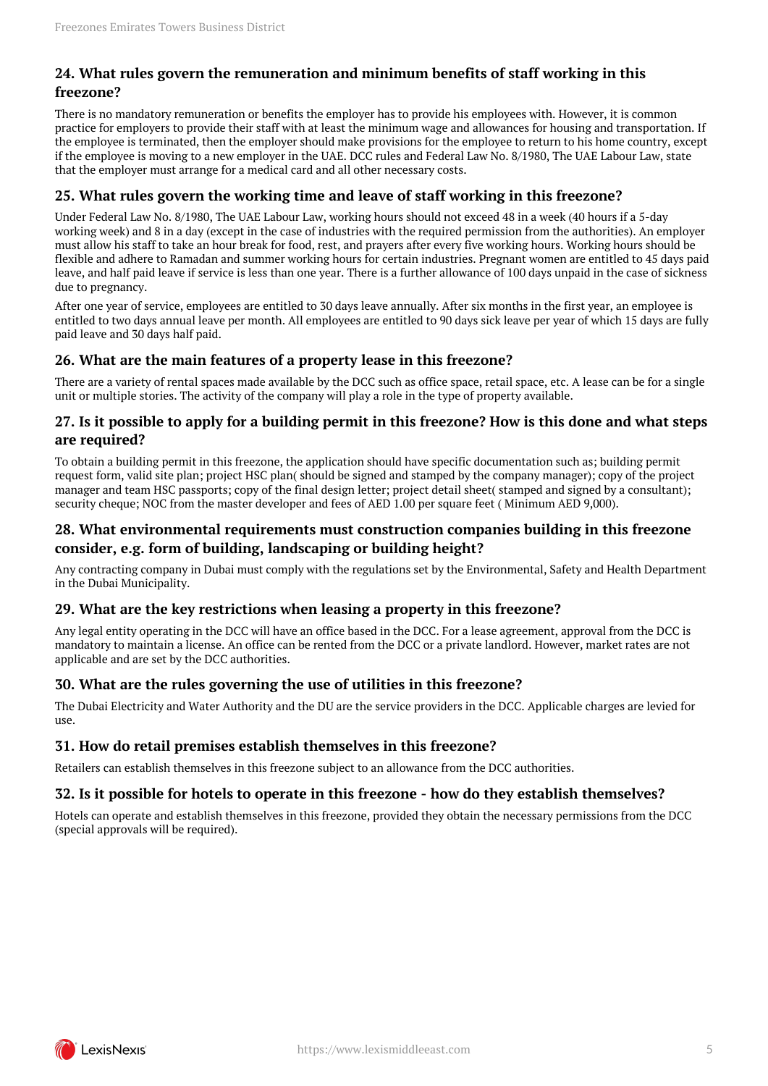# <span id="page-4-0"></span>**24. What rules govern the remuneration and minimum benefits of staff working in this freezone?**

There is no mandatory remuneration or benefits the employer has to provide his employees with. However, it is common practice for employers to provide their staff with at least the minimum wage and allowances for housing and transportation. If the employee is terminated, then the employer should make provisions for the employee to return to his home country, except if the employee is moving to a new employer in the UAE. DCC rules and Federal Law No. 8/1980, The UAE Labour Law, state that the employer must arrange for a medical card and all other necessary costs.

# <span id="page-4-1"></span>**25. What rules govern the working time and leave of staff working in this freezone?**

Under Federal Law No. 8/1980, The UAE Labour Law, working hours should not exceed 48 in a week (40 hours if a 5-day working week) and 8 in a day (except in the case of industries with the required permission from the authorities). An employer must allow his staff to take an hour break for food, rest, and prayers after every five working hours. Working hours should be flexible and adhere to Ramadan and summer working hours for certain industries. Pregnant women are entitled to 45 days paid leave, and half paid leave if service is less than one year. There is a further allowance of 100 days unpaid in the case of sickness due to pregnancy.

After one year of service, employees are entitled to 30 days leave annually. After six months in the first year, an employee is entitled to two days annual leave per month. All employees are entitled to 90 days sick leave per year of which 15 days are fully paid leave and 30 days half paid.

# <span id="page-4-2"></span>**26. What are the main features of a property lease in this freezone?**

There are a variety of rental spaces made available by the DCC such as office space, retail space, etc. A lease can be for a single unit or multiple stories. The activity of the company will play a role in the type of property available.

# <span id="page-4-3"></span>**27. Is it possible to apply for a building permit in this freezone? How is this done and what steps are required?**

To obtain a building permit in this freezone, the application should have specific documentation such as; building permit request form, valid site plan; project HSC plan( should be signed and stamped by the company manager); copy of the project manager and team HSC passports; copy of the final design letter; project detail sheet( stamped and signed by a consultant); security cheque; NOC from the master developer and fees of AED 1.00 per square feet ( Minimum AED 9,000).

# <span id="page-4-4"></span>**28. What environmental requirements must construction companies building in this freezone consider, e.g. form of building, landscaping or building height?**

Any contracting company in Dubai must comply with the regulations set by the Environmental, Safety and Health Department in the Dubai Municipality.

# <span id="page-4-5"></span>**29. What are the key restrictions when leasing a property in this freezone?**

Any legal entity operating in the DCC will have an office based in the DCC. For a lease agreement, approval from the DCC is mandatory to maintain a license. An office can be rented from the DCC or a private landlord. However, market rates are not applicable and are set by the DCC authorities.

# <span id="page-4-6"></span>**30. What are the rules governing the use of utilities in this freezone?**

The Dubai Electricity and Water Authority and the DU are the service providers in the DCC. Applicable charges are levied for  $11S<sub>P</sub>$ 

# <span id="page-4-7"></span>**31. How do retail premises establish themselves in this freezone?**

Retailers can establish themselves in this freezone subject to an allowance from the DCC authorities.

# <span id="page-4-8"></span>**32. Is it possible for hotels to operate in this freezone - how do they establish themselves?**

Hotels can operate and establish themselves in this freezone, provided they obtain the necessary permissions from the DCC (special approvals will be required).

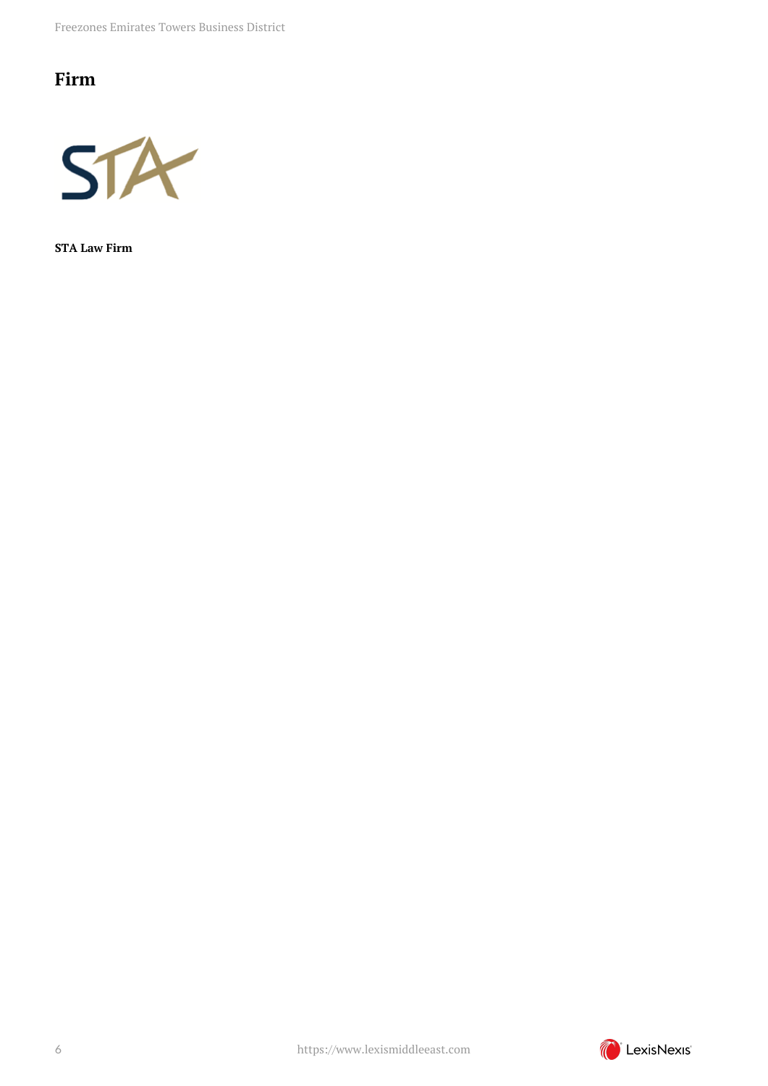# <span id="page-5-0"></span>**Firm**



**STA Law Firm**